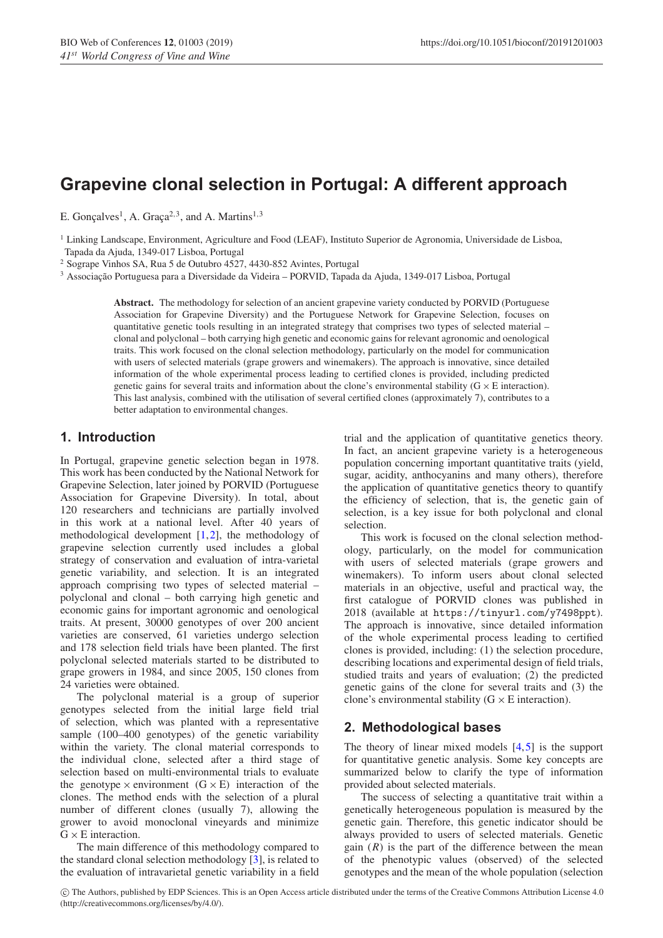# **Grapevine clonal selection in Portugal: A different approach**

E. Gonçalves<sup>1</sup>, A. Graça<sup>2,3</sup>, and A. Martins<sup>1,3</sup>

<sup>1</sup> Linking Landscape, Environment, Agriculture and Food (LEAF), Instituto Superior de Agronomia, Universidade de Lisboa, Tapada da Ajuda, 1349-017 Lisboa, Portugal

<sup>2</sup> Sogrape Vinhos SA, Rua 5 de Outubro 4527, 4430-852 Avintes, Portugal

<sup>3</sup> Associação Portuguesa para a Diversidade da Videira – PORVID, Tapada da Ajuda, 1349-017 Lisboa, Portugal

**Abstract.** The methodology for selection of an ancient grapevine variety conducted by PORVID (Portuguese Association for Grapevine Diversity) and the Portuguese Network for Grapevine Selection, focuses on quantitative genetic tools resulting in an integrated strategy that comprises two types of selected material – clonal and polyclonal – both carrying high genetic and economic gains for relevant agronomic and oenological traits. This work focused on the clonal selection methodology, particularly on the model for communication with users of selected materials (grape growers and winemakers). The approach is innovative, since detailed information of the whole experimental process leading to certified clones is provided, including predicted genetic gains for several traits and information about the clone's environmental stability ( $G \times E$  interaction). This last analysis, combined with the utilisation of several certified clones (approximately 7), contributes to a better adaptation to environmental changes.

## **1. Introduction**

In Portugal, grapevine genetic selection began in 1978. This work has been conducted by the National Network for Grapevine Selection, later joined by PORVID (Portuguese Association for Grapevine Diversity). In total, about 120 researchers and technicians are partially involved in this work at a national level. After 40 years of methodological development [\[1](#page-4-0)[,2](#page-4-1)], the methodology of grapevine selection currently used includes a global strategy of conservation and evaluation of intra-varietal genetic variability, and selection. It is an integrated approach comprising two types of selected material – polyclonal and clonal – both carrying high genetic and economic gains for important agronomic and oenological traits. At present, 30000 genotypes of over 200 ancient varieties are conserved, 61 varieties undergo selection and 178 selection field trials have been planted. The first polyclonal selected materials started to be distributed to grape growers in 1984, and since 2005, 150 clones from 24 varieties were obtained.

The polyclonal material is a group of superior genotypes selected from the initial large field trial of selection, which was planted with a representative sample (100–400 genotypes) of the genetic variability within the variety. The clonal material corresponds to the individual clone, selected after a third stage of selection based on multi-environmental trials to evaluate the genotype  $\times$  environment  $(G \times E)$  interaction of the clones. The method ends with the selection of a plural number of different clones (usually 7), allowing the grower to avoid monoclonal vineyards and minimize  $G \times E$  interaction.

The main difference of this methodology compared to the standard clonal selection methodology [\[3](#page-4-2)], is related to the evaluation of intravarietal genetic variability in a field trial and the application of quantitative genetics theory. In fact, an ancient grapevine variety is a heterogeneous population concerning important quantitative traits (yield, sugar, acidity, anthocyanins and many others), therefore the application of quantitative genetics theory to quantify the efficiency of selection, that is, the genetic gain of selection, is a key issue for both polyclonal and clonal selection.

This work is focused on the clonal selection methodology, particularly, on the model for communication with users of selected materials (grape growers and winemakers). To inform users about clonal selected materials in an objective, useful and practical way, the first catalogue of PORVID clones was published in 2018 (available at https://tinyurl.com/y7498ppt). The approach is innovative, since detailed information of the whole experimental process leading to certified clones is provided, including: (1) the selection procedure, describing locations and experimental design of field trials, studied traits and years of evaluation; (2) the predicted genetic gains of the clone for several traits and (3) the clone's environmental stability ( $G \times E$  interaction).

# **2. Methodological bases**

The theory of linear mixed models  $[4,5]$  $[4,5]$  $[4,5]$  is the support for quantitative genetic analysis. Some key concepts are summarized below to clarify the type of information provided about selected materials.

The success of selecting a quantitative trait within a genetically heterogeneous population is measured by the genetic gain. Therefore, this genetic indicator should be always provided to users of selected materials. Genetic gain  $(R)$  is the part of the difference between the mean of the phenotypic values (observed) of the selected genotypes and the mean of the whole population (selection

c The Authors, published by EDP Sciences. This is an Open Access article distributed under the terms of the Creative Commons Attribution License 4.0 (http://creativecommons.org/licenses/by/4.0/).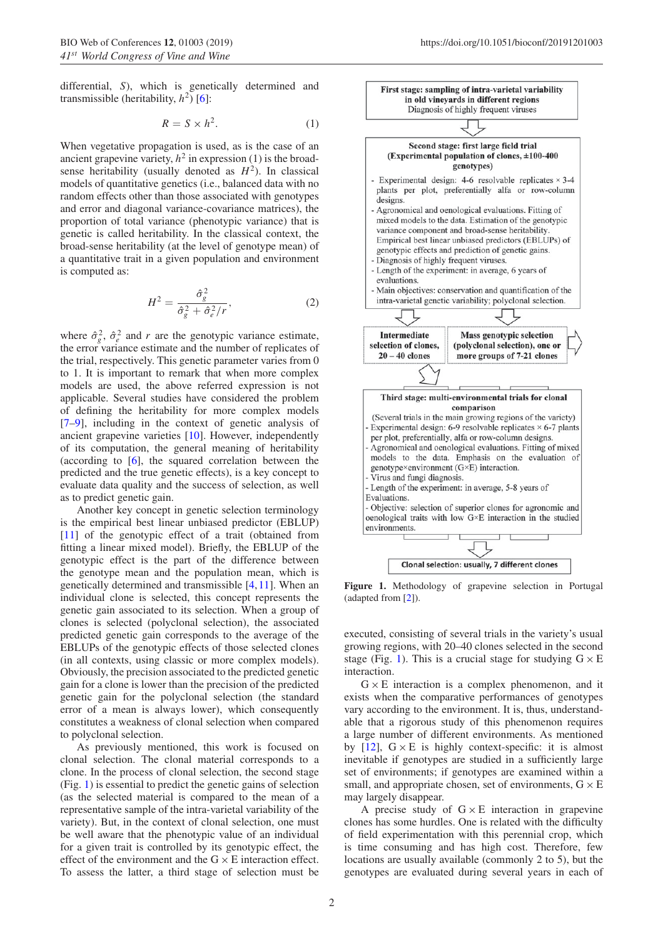differential, *S*), which is genetically determined and transmissible (heritability,  $h^2$ ) [\[6](#page-4-5)]:

$$
R = S \times h^2. \tag{1}
$$

When vegetative propagation is used, as is the case of an ancient grapevine variety,  $h^2$  in expression (1) is the broadsense heritability (usually denoted as  $H^2$ ). In classical models of quantitative genetics (i.e., balanced data with no random effects other than those associated with genotypes and error and diagonal variance-covariance matrices), the proportion of total variance (phenotypic variance) that is genetic is called heritability. In the classical context, the broad-sense heritability (at the level of genotype mean) of a quantitative trait in a given population and environment is computed as:

$$
H^2 = \frac{\hat{\sigma}_g^2}{\hat{\sigma}_g^2 + \hat{\sigma}_e^2/r},\tag{2}
$$

where  $\hat{\sigma}_{g}^{2}$ ,  $\hat{\sigma}_{e}^{2}$  and *r* are the genotypic variance estimate, the error variance estimate and the number of replicates of the trial, respectively. This genetic parameter varies from 0 to 1. It is important to remark that when more complex models are used, the above referred expression is not applicable. Several studies have considered the problem of defining the heritability for more complex models [\[7](#page-4-6)[–9](#page-4-7)], including in the context of genetic analysis of ancient grapevine varieties [\[10](#page-4-8)]. However, independently of its computation, the general meaning of heritability (according to [\[6](#page-4-5)], the squared correlation between the predicted and the true genetic effects), is a key concept to evaluate data quality and the success of selection, as well as to predict genetic gain.

Another key concept in genetic selection terminology is the empirical best linear unbiased predictor (EBLUP) [\[11](#page-5-0)] of the genotypic effect of a trait (obtained from fitting a linear mixed model). Briefly, the EBLUP of the genotypic effect is the part of the difference between the genotype mean and the population mean, which is genetically determined and transmissible [\[4,](#page-4-3)[11\]](#page-5-0). When an individual clone is selected, this concept represents the genetic gain associated to its selection. When a group of clones is selected (polyclonal selection), the associated predicted genetic gain corresponds to the average of the EBLUPs of the genotypic effects of those selected clones (in all contexts, using classic or more complex models). Obviously, the precision associated to the predicted genetic gain for a clone is lower than the precision of the predicted genetic gain for the polyclonal selection (the standard error of a mean is always lower), which consequently constitutes a weakness of clonal selection when compared to polyclonal selection.

As previously mentioned, this work is focused on clonal selection. The clonal material corresponds to a clone. In the process of clonal selection, the second stage (Fig. [1\)](#page-1-0) is essential to predict the genetic gains of selection (as the selected material is compared to the mean of a representative sample of the intra-varietal variability of the variety). But, in the context of clonal selection, one must be well aware that the phenotypic value of an individual for a given trait is controlled by its genotypic effect, the effect of the environment and the  $G \times E$  interaction effect. To assess the latter, a third stage of selection must be

<span id="page-1-0"></span>

**Figure 1.** Methodology of grapevine selection in Portugal (adapted from [\[2](#page-4-1)]).

executed, consisting of several trials in the variety's usual growing regions, with 20–40 clones selected in the second stage (Fig. [1\)](#page-1-0). This is a crucial stage for studying  $G \times E$ interaction.

 $G \times E$  interaction is a complex phenomenon, and it exists when the comparative performances of genotypes vary according to the environment. It is, thus, understandable that a rigorous study of this phenomenon requires a large number of different environments. As mentioned by [\[12\]](#page-5-1),  $G \times E$  is highly context-specific: it is almost inevitable if genotypes are studied in a sufficiently large set of environments; if genotypes are examined within a small, and appropriate chosen, set of environments,  $G \times E$ may largely disappear.

A precise study of  $G \times E$  interaction in grapevine clones has some hurdles. One is related with the difficulty of field experimentation with this perennial crop, which is time consuming and has high cost. Therefore, few locations are usually available (commonly 2 to 5), but the genotypes are evaluated during several years in each of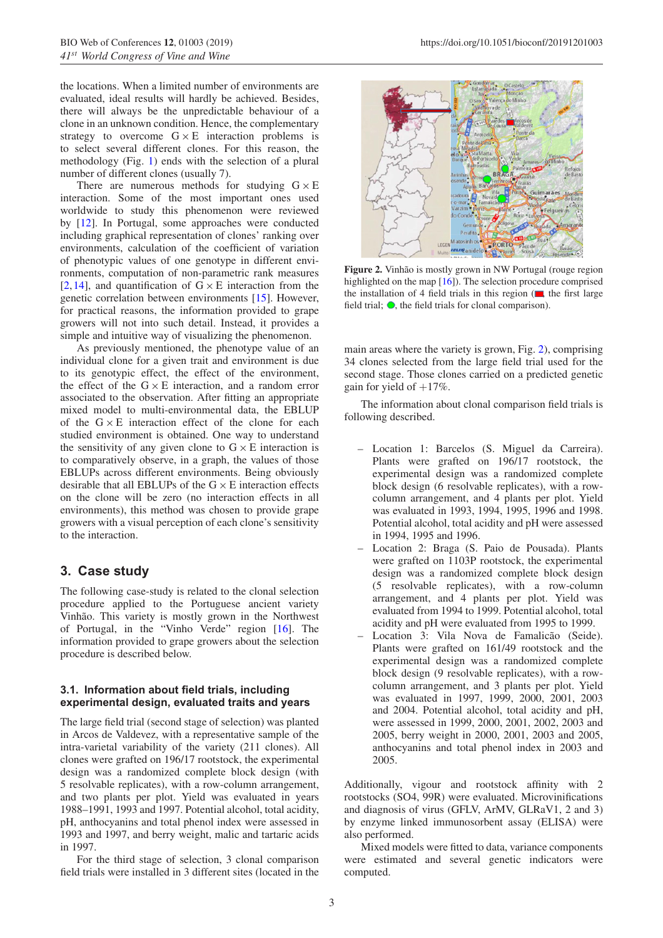the locations. When a limited number of environments are evaluated, ideal results will hardly be achieved. Besides, there will always be the unpredictable behaviour of a clone in an unknown condition. Hence, the complementary strategy to overcome  $G \times E$  interaction problems is to select several different clones. For this reason, the methodology (Fig. [1\)](#page-1-0) ends with the selection of a plural number of different clones (usually 7).

There are numerous methods for studying  $G \times E$ interaction. Some of the most important ones used worldwide to study this phenomenon were reviewed by [\[12\]](#page-5-1). In Portugal, some approaches were conducted including graphical representation of clones' ranking over environments, calculation of the coefficient of variation of phenotypic values of one genotype in different environments, computation of non-parametric rank measures [\[2](#page-4-1),[14\]](#page-5-2), and quantification of  $G \times E$  interaction from the genetic correlation between environments [\[15](#page-5-3)]. However, for practical reasons, the information provided to grape growers will not into such detail. Instead, it provides a simple and intuitive way of visualizing the phenomenon.

As previously mentioned, the phenotype value of an individual clone for a given trait and environment is due to its genotypic effect, the effect of the environment, the effect of the  $G \times E$  interaction, and a random error associated to the observation. After fitting an appropriate mixed model to multi-environmental data, the EBLUP of the  $G \times E$  interaction effect of the clone for each studied environment is obtained. One way to understand the sensitivity of any given clone to  $G \times E$  interaction is to comparatively observe, in a graph, the values of those EBLUPs across different environments. Being obviously desirable that all EBLUPs of the  $G \times E$  interaction effects on the clone will be zero (no interaction effects in all environments), this method was chosen to provide grape growers with a visual perception of each clone's sensitivity to the interaction.

# **3. Case study**

The following case-study is related to the clonal selection procedure applied to the Portuguese ancient variety Vinhão. This variety is mostly grown in the Northwest of Portugal, in the "Vinho Verde" region [\[16\]](#page-5-4). The information provided to grape growers about the selection procedure is described below.

## **3.1. Information about field trials, including experimental design, evaluated traits and years**

The large field trial (second stage of selection) was planted in Arcos de Valdevez, with a representative sample of the intra-varietal variability of the variety (211 clones). All clones were grafted on 196/17 rootstock, the experimental design was a randomized complete block design (with 5 resolvable replicates), with a row-column arrangement, and two plants per plot. Yield was evaluated in years 1988–1991, 1993 and 1997. Potential alcohol, total acidity, pH, anthocyanins and total phenol index were assessed in 1993 and 1997, and berry weight, malic and tartaric acids in 1997.

For the third stage of selection, 3 clonal comparison field trials were installed in 3 different sites (located in the

<span id="page-2-0"></span>

Figure 2. Vinhão is mostly grown in NW Portugal (rouge region highlighted on the map [\[16\]](#page-5-4)). The selection procedure comprised the installation of 4 field trials in this region ( , the first large field trial;  $\bullet$ , the field trials for clonal comparison).

main areas where the variety is grown, Fig. [2\)](#page-2-0), comprising 34 clones selected from the large field trial used for the second stage. Those clones carried on a predicted genetic gain for yield of  $+17\%$ .

The information about clonal comparison field trials is following described.

- Location 1: Barcelos (S. Miguel da Carreira). Plants were grafted on 196/17 rootstock, the experimental design was a randomized complete block design (6 resolvable replicates), with a rowcolumn arrangement, and 4 plants per plot. Yield was evaluated in 1993, 1994, 1995, 1996 and 1998. Potential alcohol, total acidity and pH were assessed in 1994, 1995 and 1996.
- Location 2: Braga (S. Paio de Pousada). Plants were grafted on 1103P rootstock, the experimental design was a randomized complete block design (5 resolvable replicates), with a row-column arrangement, and 4 plants per plot. Yield was evaluated from 1994 to 1999. Potential alcohol, total acidity and pH were evaluated from 1995 to 1999.
- Location 3: Vila Nova de Famalicão (Seide). Plants were grafted on 161/49 rootstock and the experimental design was a randomized complete block design (9 resolvable replicates), with a rowcolumn arrangement, and 3 plants per plot. Yield was evaluated in 1997, 1999, 2000, 2001, 2003 and 2004. Potential alcohol, total acidity and pH, were assessed in 1999, 2000, 2001, 2002, 2003 and 2005, berry weight in 2000, 2001, 2003 and 2005, anthocyanins and total phenol index in 2003 and 2005.

Additionally, vigour and rootstock affinity with 2 rootstocks (SO4, 99R) were evaluated. Microvinifications and diagnosis of virus (GFLV, ArMV, GLRaV1, 2 and 3) by enzyme linked immunosorbent assay (ELISA) were also performed.

Mixed models were fitted to data, variance components were estimated and several genetic indicators were computed.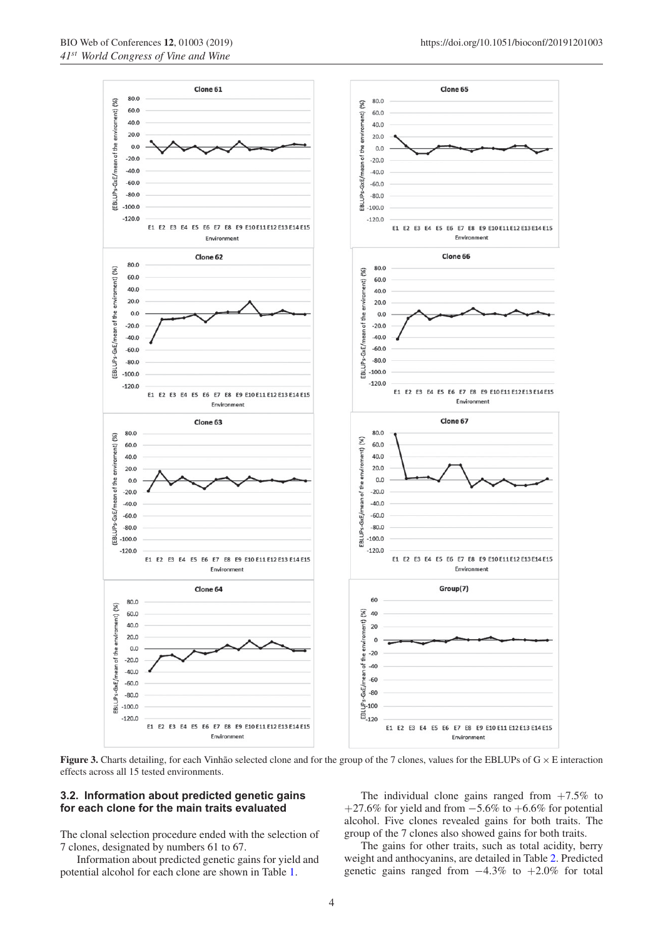



<span id="page-3-0"></span>**Figure 3.** Charts detailing, for each Vinhão selected clone and for the group of the 7 clones, values for the EBLUPs of  $G \times E$  interaction effects across all 15 tested environments.

#### **3.2. Information about predicted genetic gains for each clone for the main traits evaluated**

The clonal selection procedure ended with the selection of 7 clones, designated by numbers 61 to 67.

Information about predicted genetic gains for yield and potential alcohol for each clone are shown in Table [1.](#page-4-9)

The individual clone gains ranged from  $+7.5\%$  to +27.6% for yield and from  $-5.6\%$  to +6.6% for potential alcohol. Five clones revealed gains for both traits. The group of the 7 clones also showed gains for both traits.

The gains for other traits, such as total acidity, berry weight and anthocyanins, are detailed in Table [2.](#page-4-10) Predicted genetic gains ranged from −4.3% to +2.0% for total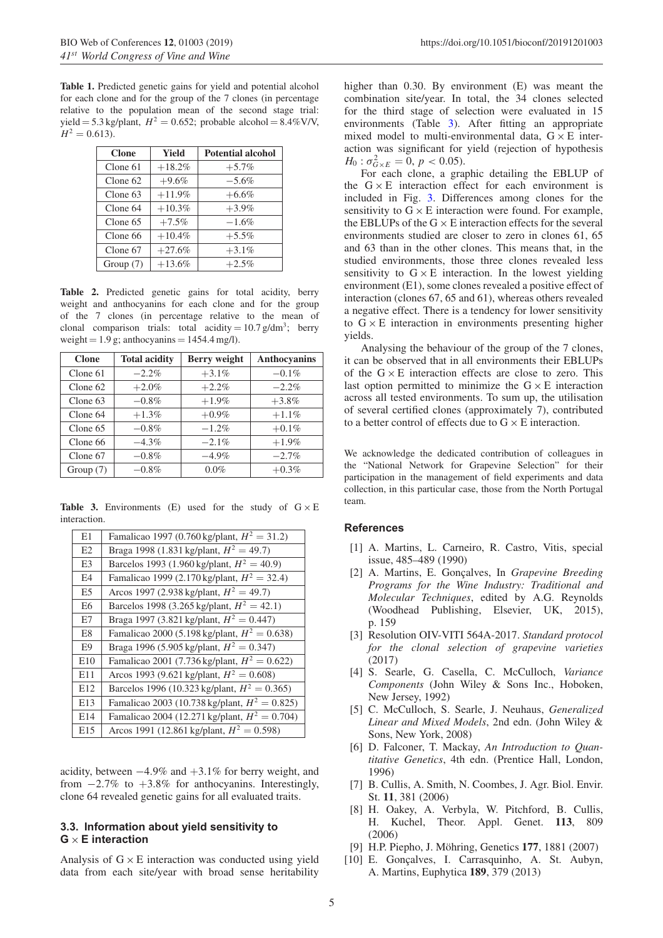<span id="page-4-9"></span>**Table 1.** Predicted genetic gains for yield and potential alcohol for each clone and for the group of the 7 clones (in percentage relative to the population mean of the second stage trial: yield = 5.3 kg/plant,  $H^2 = 0.652$ ; probable alcohol = 8.4%V/V,  $H^2 = 0.613$ .

| <b>Clone</b> | <b>Yield</b> | <b>Potential alcohol</b> |
|--------------|--------------|--------------------------|
| Clone 61     | $+18.2%$     | $+5.7%$                  |
| $C$ lone 62  | $+9.6%$      | $-5.6\%$                 |
| $C$ lone 63  | $+11.9%$     | $+6.6\%$                 |
| Clone 64     | $+10.3%$     | $+3.9\%$                 |
| Clone 65     | $+7.5\%$     | $-1.6%$                  |
| Clone 66     | $+10.4%$     | $+5.5\%$                 |
| Clone 67     | $+27.6%$     | $+3.1%$                  |
| Group $(7)$  | $+13.6%$     | $+2.5\%$                 |

<span id="page-4-10"></span>**Table 2.** Predicted genetic gains for total acidity, berry weight and anthocyanins for each clone and for the group of the 7 clones (in percentage relative to the mean of clonal comparison trials: total acidity =  $10.7 \text{ g/dm}^3$ ; berry weight =  $1.9$  g; anthocyanins =  $1454.4$  mg/l).

| <b>Clone</b> | <b>Total acidity</b> | Berry weight | Anthocyanins |
|--------------|----------------------|--------------|--------------|
| Clone 61     | $-2.2\%$             | $+3.1\%$     | $-0.1\%$     |
| Clone $62$   | $+2.0\%$             | $+2.2%$      | $-2.2%$      |
| Clone 63     | $-0.8\%$             | $+1.9\%$     | $+3.8\%$     |
| Clone 64     | $+1.3\%$             | $+0.9\%$     | $+1.1\%$     |
| Clone $65$   | $-0.8\%$             | $-1.2%$      | $+0.1\%$     |
| Clone 66     | $-4.3\%$             | $-2.1\%$     | $+1.9\%$     |
| Clone 67     | $-0.8\%$             | $-4.9\%$     | $-2.7%$      |
| Group $(7)$  | $-0.8\%$             | $0.0\%$      | $+0.3\%$     |

<span id="page-4-11"></span>**Table 3.** Environments (E) used for the study of  $G \times E$ interaction.

| E1             | Famalicao 1997 (0.760 kg/plant, $H^2 = 31.2$ )   |
|----------------|--------------------------------------------------|
| E2             | Braga 1998 (1.831 kg/plant, $H^2 = 49.7$ )       |
| E <sub>3</sub> | Barcelos 1993 (1.960 kg/plant, $H^2 = 40.9$ )    |
| E4             | Famalicao 1999 (2.170 kg/plant, $H^2 = 32.4$ )   |
| E <sub>5</sub> | Arcos 1997 (2.938 kg/plant, $H^2 = 49.7$ )       |
| E <sub>6</sub> | Barcelos 1998 (3.265 kg/plant, $H^2 = 42.1$ )    |
| E7             | Braga 1997 (3.821 kg/plant, $H^2 = 0.447$ )      |
| E8             | Famalicao 2000 (5.198 kg/plant, $H^2 = 0.638$ )  |
| E9             | Braga 1996 (5.905 kg/plant, $H^2 = 0.347$ )      |
| E10            | Famalicao 2001 (7.736 kg/plant, $H^2 = 0.622$ )  |
| E11            | Arcos 1993 (9.621 kg/plant, $H^2 = 0.608$ )      |
| E12            | Barcelos 1996 (10.323 kg/plant, $H^2 = 0.365$ )  |
| E13            | Famalicao 2003 (10.738 kg/plant, $H^2 = 0.825$ ) |
| E14            | Famalicao 2004 (12.271 kg/plant, $H^2 = 0.704$ ) |
| E15            | Arcos 1991 (12.861 kg/plant, $H^2 = 0.598$ )     |

acidity, between −4.9% and +3.1% for berry weight, and from  $-2.7\%$  to  $+3.8\%$  for anthocyanins. Interestingly, clone 64 revealed genetic gains for all evaluated traits.

### **3.3. Information about yield sensitivity to G** × **E interaction**

Analysis of  $G \times E$  interaction was conducted using yield data from each site/year with broad sense heritability higher than 0.30. By environment (E) was meant the combination site/year. In total, the 34 clones selected for the third stage of selection were evaluated in 15 environments (Table [3\)](#page-4-11). After fitting an appropriate mixed model to multi-environmental data,  $G \times E$  interaction was significant for yield (rejection of hypothesis  $H_0: \sigma_{G\times E}^2 = 0, p < 0.05.$ 

For each clone, a graphic detailing the EBLUP of the  $G \times E$  interaction effect for each environment is included in Fig. [3.](#page-3-0) Differences among clones for the sensitivity to  $G \times E$  interaction were found. For example, the EBLUPs of the  $G \times E$  interaction effects for the several environments studied are closer to zero in clones 61, 65 and 63 than in the other clones. This means that, in the studied environments, those three clones revealed less sensitivity to  $G \times E$  interaction. In the lowest yielding environment (E1), some clones revealed a positive effect of interaction (clones 67, 65 and 61), whereas others revealed a negative effect. There is a tendency for lower sensitivity to  $G \times E$  interaction in environments presenting higher yields.

Analysing the behaviour of the group of the 7 clones, it can be observed that in all environments their EBLUPs of the  $G \times E$  interaction effects are close to zero. This last option permitted to minimize the  $G \times E$  interaction across all tested environments. To sum up, the utilisation of several certified clones (approximately 7), contributed to a better control of effects due to  $G \times E$  interaction.

We acknowledge the dedicated contribution of colleagues in the "National Network for Grapevine Selection" for their participation in the management of field experiments and data collection, in this particular case, those from the North Portugal team.

#### <span id="page-4-0"></span>**References**

- [1] A. Martins, L. Carneiro, R. Castro, Vitis, special issue, 485–489 (1990)
- <span id="page-4-1"></span>[2] A. Martins, E. Gonçalves, In *Grapevine Breeding Programs for the Wine Industry: Traditional and Molecular Techniques*, edited by A.G. Reynolds (Woodhead Publishing, Elsevier, UK, 2015), p. 159
- <span id="page-4-2"></span>[3] Resolution OIV-VITI 564A-2017. *Standard protocol for the clonal selection of grapevine varieties* (2017)
- <span id="page-4-3"></span>[4] S. Searle, G. Casella, C. McCulloch, *Variance Components* (John Wiley & Sons Inc., Hoboken, New Jersey, 1992)
- <span id="page-4-4"></span>[5] C. McCulloch, S. Searle, J. Neuhaus, *Generalized Linear and Mixed Models*, 2nd edn. (John Wiley & Sons, New York, 2008)
- <span id="page-4-5"></span>[6] D. Falconer, T. Mackay, *An Introduction to Quantitative Genetics*, 4th edn. (Prentice Hall, London, 1996)
- <span id="page-4-6"></span>[7] B. Cullis, A. Smith, N. Coombes, J. Agr. Biol. Envir. St. **11**, 381 (2006)
- [8] H. Oakey, A. Verbyla, W. Pitchford, B. Cullis, H. Kuchel, Theor. Appl. Genet. **113**, 809 (2006)
- [9] H.P. Piepho, J. Möhring, Genetics 177, 1881 (2007)
- <span id="page-4-8"></span><span id="page-4-7"></span>[10] E. Gonçalves, I. Carrasquinho, A. St. Aubyn, A. Martins, Euphytica **189**, 379 (2013)